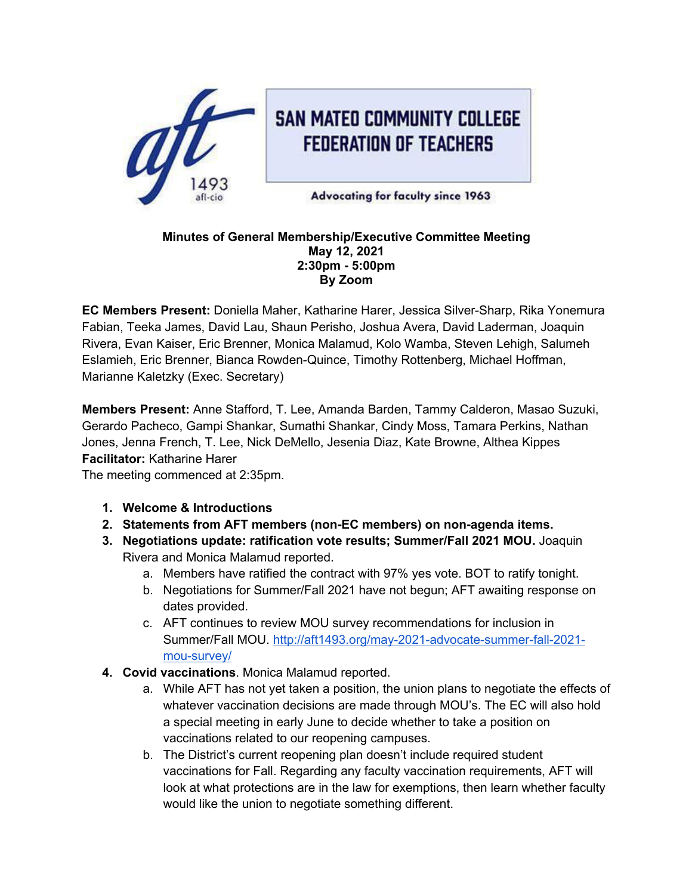

## **Minutes of General Membership/Executive Committee Meeting May 12, 2021 2:30pm - 5:00pm By Zoom**

**EC Members Present:** Doniella Maher, Katharine Harer, Jessica Silver-Sharp, Rika Yonemura Fabian, Teeka James, David Lau, Shaun Perisho, Joshua Avera, David Laderman, Joaquin Rivera, Evan Kaiser, Eric Brenner, Monica Malamud, Kolo Wamba, Steven Lehigh, Salumeh Eslamieh, Eric Brenner, Bianca Rowden-Quince, Timothy Rottenberg, Michael Hoffman, Marianne Kaletzky (Exec. Secretary)

**Members Present:** Anne Stafford, T. Lee, Amanda Barden, Tammy Calderon, Masao Suzuki, Gerardo Pacheco, Gampi Shankar, Sumathi Shankar, Cindy Moss, Tamara Perkins, Nathan Jones, Jenna French, T. Lee, Nick DeMello, Jesenia Diaz, Kate Browne, Althea Kippes **Facilitator:** Katharine Harer

The meeting commenced at 2:35pm.

- **1. Welcome & Introductions**
- **2. Statements from AFT members (non-EC members) on non-agenda items.**
- **3. Negotiations update: ratification vote results; Summer/Fall 2021 MOU.** Joaquin Rivera and Monica Malamud reported.
	- a. Members have ratified the contract with 97% yes vote. BOT to ratify tonight.
	- b. Negotiations for Summer/Fall 2021 have not begun; AFT awaiting response on dates provided.
	- c. AFT continues to review MOU survey recommendations for inclusion in Summer/Fall MOU. http://aft1493.org/may-2021-advocate-summer-fall-2021 mou-survey/
- **4. Covid vaccinations**. Monica Malamud reported.
	- a. While AFT has not yet taken a position, the union plans to negotiate the effects of whatever vaccination decisions are made through MOU's. The EC will also hold a special meeting in early June to decide whether to take a position on vaccinations related to our reopening campuses.
	- b. The District's current reopening plan doesn't include required student vaccinations for Fall. Regarding any faculty vaccination requirements, AFT will look at what protections are in the law for exemptions, then learn whether faculty would like the union to negotiate something different.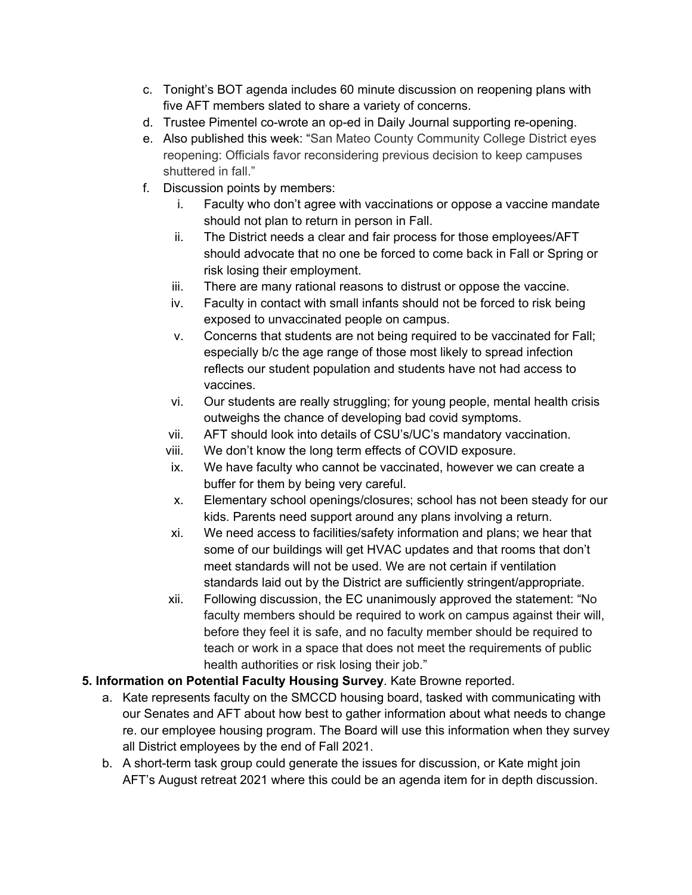- c. Tonight's BOT agenda includes 60 minute discussion on reopening plans with five AFT members slated to share a variety of concerns.
- d. Trustee Pimentel co-wrote an op-ed in Daily Journal supporting re-opening.
- e. Also published this week: "San Mateo County Community College District eyes reopening: Officials favor reconsidering previous decision to keep campuses shuttered in fall."
- f. Discussion points by members:
	- i. Faculty who don't agree with vaccinations or oppose a vaccine mandate should not plan to return in person in Fall.
	- ii. The District needs a clear and fair process for those employees/AFT should advocate that no one be forced to come back in Fall or Spring or risk losing their employment.
	- iii. There are many rational reasons to distrust or oppose the vaccine.
	- iv. Faculty in contact with small infants should not be forced to risk being exposed to unvaccinated people on campus.
	- v. Concerns that students are not being required to be vaccinated for Fall; especially b/c the age range of those most likely to spread infection reflects our student population and students have not had access to vaccines.
	- vi. Our students are really struggling; for young people, mental health crisis outweighs the chance of developing bad covid symptoms.
	- vii. AFT should look into details of CSU's/UC's mandatory vaccination.
	- viii. We don't know the long term effects of COVID exposure.
	- ix. We have faculty who cannot be vaccinated, however we can create a buffer for them by being very careful.
	- x. Elementary school openings/closures; school has not been steady for our kids. Parents need support around any plans involving a return.
	- xi. We need access to facilities/safety information and plans; we hear that some of our buildings will get HVAC updates and that rooms that don't meet standards will not be used. We are not certain if ventilation standards laid out by the District are sufficiently stringent/appropriate.
	- xii. Following discussion, the EC unanimously approved the statement: "No faculty members should be required to work on campus against their will, before they feel it is safe, and no faculty member should be required to teach or work in a space that does not meet the requirements of public health authorities or risk losing their job."
- **5. Information on Potential Faculty Housing Survey**. Kate Browne reported.
	- a. Kate represents faculty on the SMCCD housing board, tasked with communicating with our Senates and AFT about how best to gather information about what needs to change re. our employee housing program. The Board will use this information when they survey all District employees by the end of Fall 2021.
	- b. A short-term task group could generate the issues for discussion, or Kate might join AFT's August retreat 2021 where this could be an agenda item for in depth discussion.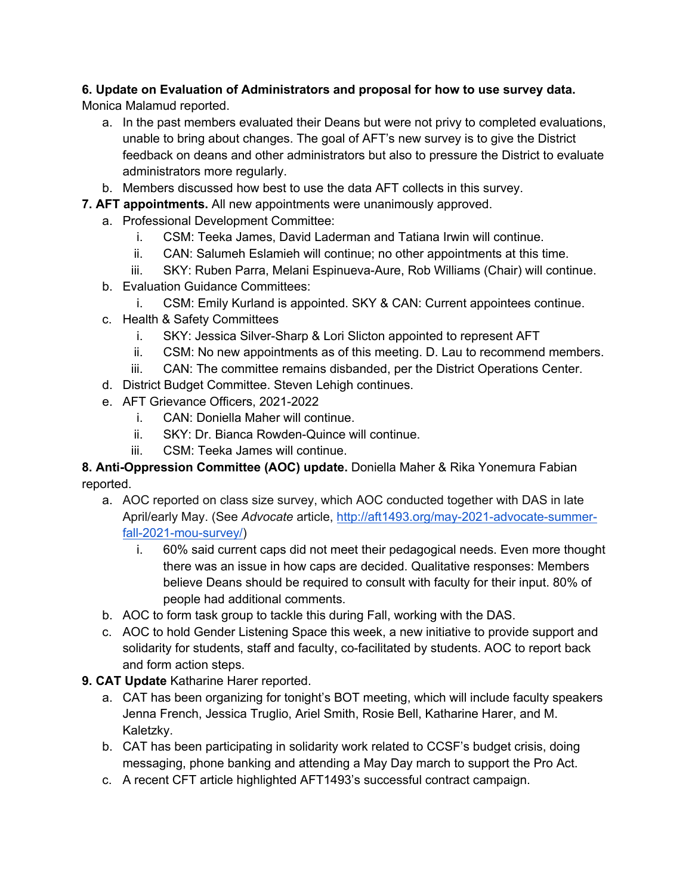## **6. Update on Evaluation of Administrators and proposal for how to use survey data.**

Monica Malamud reported.

- a. In the past members evaluated their Deans but were not privy to completed evaluations, unable to bring about changes. The goal of AFT's new survey is to give the District feedback on deans and other administrators but also to pressure the District to evaluate administrators more regularly.
- b. Members discussed how best to use the data AFT collects in this survey.
- **7. AFT appointments.** All new appointments were unanimously approved.
	- a. Professional Development Committee:
		- i. CSM: Teeka James, David Laderman and Tatiana Irwin will continue.
		- ii. CAN: Salumeh Eslamieh will continue; no other appointments at this time.
		- iii. SKY: Ruben Parra, Melani Espinueva-Aure, Rob Williams (Chair) will continue.
	- b. Evaluation Guidance Committees:
		- i. CSM: Emily Kurland is appointed. SKY & CAN: Current appointees continue.
	- c. Health & Safety Committees
		- i. SKY: Jessica Silver-Sharp & Lori Slicton appointed to represent AFT
		- ii. CSM: No new appointments as of this meeting. D. Lau to recommend members.
		- iii. CAN: The committee remains disbanded, per the District Operations Center.
	- d. District Budget Committee. Steven Lehigh continues.
	- e. AFT Grievance Officers, 2021-2022
		- i. CAN: Doniella Maher will continue.
		- ii. SKY: Dr. Bianca Rowden-Quince will continue.
		- iii. CSM: Teeka James will continue.

## **8. Anti-Oppression Committee (AOC) update.** Doniella Maher & Rika Yonemura Fabian reported.

- a. AOC reported on class size survey, which AOC conducted together with DAS in late April/early May. (See *Advocate* article, http://aft1493.org/may-2021-advocate-summerfall-2021-mou-survey/)
	- i. 60% said current caps did not meet their pedagogical needs. Even more thought there was an issue in how caps are decided. Qualitative responses: Members believe Deans should be required to consult with faculty for their input. 80% of people had additional comments.
- b. AOC to form task group to tackle this during Fall, working with the DAS.
- c. AOC to hold Gender Listening Space this week, a new initiative to provide support and solidarity for students, staff and faculty, co-facilitated by students. AOC to report back and form action steps.
- **9. CAT Update** Katharine Harer reported.
	- a. CAT has been organizing for tonight's BOT meeting, which will include faculty speakers Jenna French, Jessica Truglio, Ariel Smith, Rosie Bell, Katharine Harer, and M. Kaletzky.
	- b. CAT has been participating in solidarity work related to CCSF's budget crisis, doing messaging, phone banking and attending a May Day march to support the Pro Act.
	- c. A recent CFT article highlighted AFT1493's successful contract campaign.